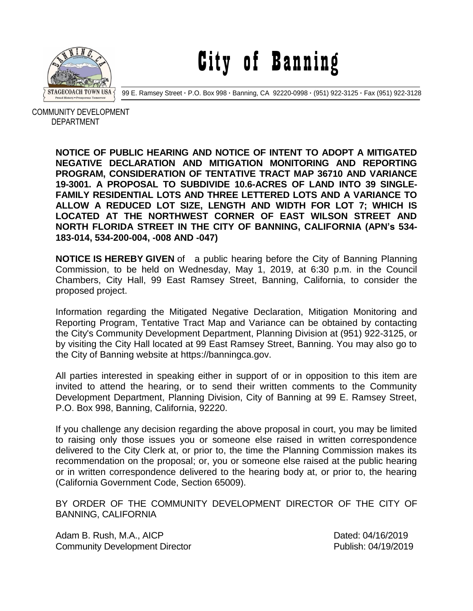

City of Banning

99 E. Ramsey Street **·** P.O. Box 998 **·** Banning, CA 92220-0998 **·** (951) 922-3125 **·** Fax (951) 922-3128

 COMMUNITY DEVELOPMENT DEPARTMENT

> **NOTICE OF PUBLIC HEARING AND NOTICE OF INTENT TO ADOPT A MITIGATED NEGATIVE DECLARATION AND MITIGATION MONITORING AND REPORTING PROGRAM, CONSIDERATION OF TENTATIVE TRACT MAP 36710 AND VARIANCE 19-3001. A PROPOSAL TO SUBDIVIDE 10.6-ACRES OF LAND INTO 39 SINGLE-FAMILY RESIDENTIAL LOTS AND THREE LETTERED LOTS AND A VARIANCE TO ALLOW A REDUCED LOT SIZE, LENGTH AND WIDTH FOR LOT 7; WHICH IS LOCATED AT THE NORTHWEST CORNER OF EAST WILSON STREET AND NORTH FLORIDA STREET IN THE CITY OF BANNING, CALIFORNIA (APN's 534- 183-014, 534-200-004, -008 AND -047)**

> **NOTICE IS HEREBY GIVEN** of a public hearing before the City of Banning Planning Commission, to be held on Wednesday, May 1, 2019, at 6:30 p.m. in the Council Chambers, City Hall, 99 East Ramsey Street, Banning, California, to consider the proposed project.

> Information regarding the Mitigated Negative Declaration, Mitigation Monitoring and Reporting Program, Tentative Tract Map and Variance can be obtained by contacting the City's Community Development Department, Planning Division at (951) 922-3125, or by visiting the City Hall located at 99 East Ramsey Street, Banning. You may also go to the City of Banning website at https://banningca.gov.

> All parties interested in speaking either in support of or in opposition to this item are invited to attend the hearing, or to send their written comments to the Community Development Department, Planning Division, City of Banning at 99 E. Ramsey Street, P.O. Box 998, Banning, California, 92220.

> If you challenge any decision regarding the above proposal in court, you may be limited to raising only those issues you or someone else raised in written correspondence delivered to the City Clerk at, or prior to, the time the Planning Commission makes its recommendation on the proposal; or, you or someone else raised at the public hearing or in written correspondence delivered to the hearing body at, or prior to, the hearing (California Government Code, Section 65009).

> BY ORDER OF THE COMMUNITY DEVELOPMENT DIRECTOR OF THE CITY OF BANNING, CALIFORNIA

Adam B. Rush, M.A., AICP **Dated: 04/16/2019** Community Development Director **Publish: 04/19/2019**